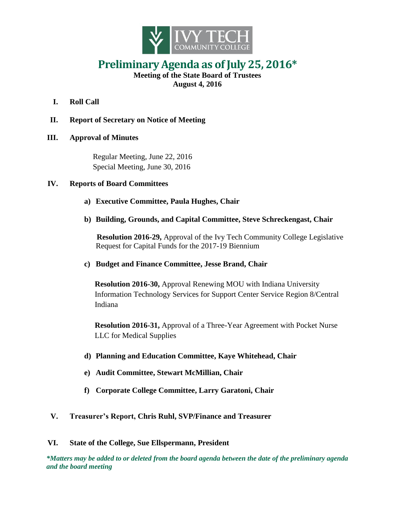

# **Preliminary Agenda as of July 25, 2016\***

**Meeting of the State Board of Trustees August 4, 2016**

- **I. Roll Call**
- **II. Report of Secretary on Notice of Meeting**

## **III. Approval of Minutes**

Regular Meeting, June 22, 2016 Special Meeting, June 30, 2016

## **IV. Reports of Board Committees**

- **a) Executive Committee, Paula Hughes, Chair**
- **b) Building, Grounds, and Capital Committee, Steve Schreckengast, Chair**

**Resolution 2016-29,** Approval of the Ivy Tech Community College Legislative Request for Capital Funds for the 2017-19 Biennium

## **c) Budget and Finance Committee, Jesse Brand, Chair**

**Resolution 2016-30,** Approval Renewing MOU with Indiana University Information Technology Services for Support Center Service Region 8/Central Indiana

**Resolution 2016-31,** Approval of a Three-Year Agreement with Pocket Nurse LLC for Medical Supplies

- **d) Planning and Education Committee, Kaye Whitehead, Chair**
- **e) Audit Committee, Stewart McMillian, Chair**
- **f) Corporate College Committee, Larry Garatoni, Chair**

## **V. Treasurer's Report, Chris Ruhl, SVP/Finance and Treasurer**

### **VI. State of the College, Sue Ellspermann, President**

*\*Matters may be added to or deleted from the board agenda between the date of the preliminary agenda and the board meeting*